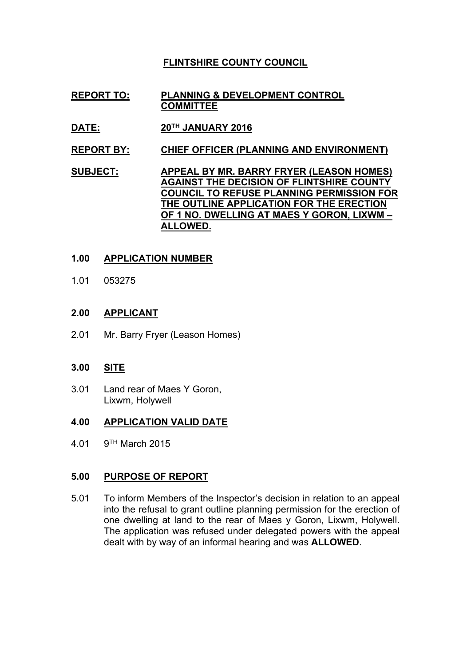# **FLINTSHIRE COUNTY COUNCIL**

- **REPORT TO: PLANNING & DEVELOPMENT CONTROL COMMITTEE**
- **DATE: 20TH JANUARY 2016**
- **REPORT BY: CHIEF OFFICER (PLANNING AND ENVIRONMENT)**
- **SUBJECT: APPEAL BY MR. BARRY FRYER (LEASON HOMES) AGAINST THE DECISION OF FLINTSHIRE COUNTY COUNCIL TO REFUSE PLANNING PERMISSION FOR THE OUTLINE APPLICATION FOR THE ERECTION OF 1 NO. DWELLING AT MAES Y GORON, LIXWM – ALLOWED.**

## **1.00 APPLICATION NUMBER**

1.01 053275

## **2.00 APPLICANT**

2.01 Mr. Barry Fryer (Leason Homes)

## **3.00 SITE**

3.01 Land rear of Maes Y Goron, Lixwm, Holywell

### **4.00 APPLICATION VALID DATE**

 $4.01$  $9<sup>TH</sup>$  March 2015

## **5.00 PURPOSE OF REPORT**

5.01 To inform Members of the Inspector's decision in relation to an appeal into the refusal to grant outline planning permission for the erection of one dwelling at land to the rear of Maes y Goron, Lixwm, Holywell. The application was refused under delegated powers with the appeal dealt with by way of an informal hearing and was **ALLOWED**.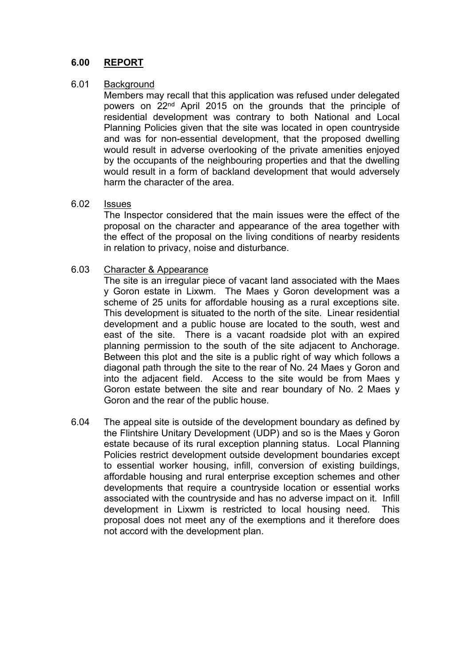#### **6.00 REPORT**

#### 6.01 **Background**

Members may recall that this application was refused under delegated powers on 22nd April 2015 on the grounds that the principle of residential development was contrary to both National and Local Planning Policies given that the site was located in open countryside and was for non-essential development, that the proposed dwelling would result in adverse overlooking of the private amenities enjoyed by the occupants of the neighbouring properties and that the dwelling would result in a form of backland development that would adversely harm the character of the area.

#### 6.02 Issues

The Inspector considered that the main issues were the effect of the proposal on the character and appearance of the area together with the effect of the proposal on the living conditions of nearby residents in relation to privacy, noise and disturbance.

#### 6.03 Character & Appearance

The site is an irregular piece of vacant land associated with the Maes y Goron estate in Lixwm. The Maes y Goron development was a scheme of 25 units for affordable housing as a rural exceptions site. This development is situated to the north of the site. Linear residential development and a public house are located to the south, west and east of the site. There is a vacant roadside plot with an expired planning permission to the south of the site adjacent to Anchorage. Between this plot and the site is a public right of way which follows a diagonal path through the site to the rear of No. 24 Maes y Goron and into the adjacent field. Access to the site would be from Maes y Goron estate between the site and rear boundary of No. 2 Maes y Goron and the rear of the public house.

6.04 The appeal site is outside of the development boundary as defined by the Flintshire Unitary Development (UDP) and so is the Maes y Goron estate because of its rural exception planning status. Local Planning Policies restrict development outside development boundaries except to essential worker housing, infill, conversion of existing buildings, affordable housing and rural enterprise exception schemes and other developments that require a countryside location or essential works associated with the countryside and has no adverse impact on it. Infill development in Lixwm is restricted to local housing need. This proposal does not meet any of the exemptions and it therefore does not accord with the development plan.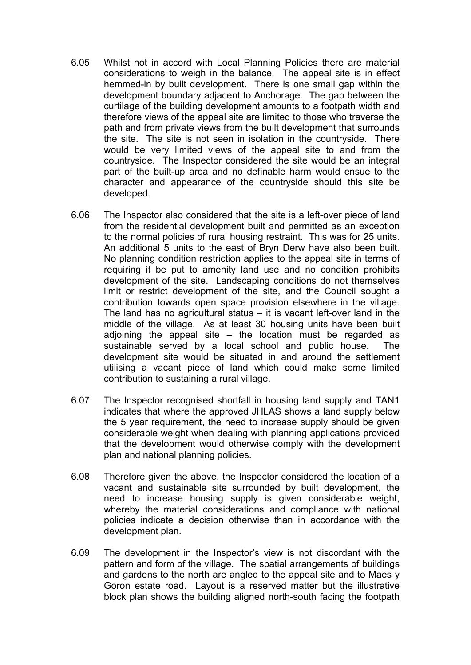- 6.05 Whilst not in accord with Local Planning Policies there are material considerations to weigh in the balance. The appeal site is in effect hemmed-in by built development. There is one small gap within the development boundary adjacent to Anchorage. The gap between the curtilage of the building development amounts to a footpath width and therefore views of the appeal site are limited to those who traverse the path and from private views from the built development that surrounds the site. The site is not seen in isolation in the countryside. There would be very limited views of the appeal site to and from the countryside. The Inspector considered the site would be an integral part of the built-up area and no definable harm would ensue to the character and appearance of the countryside should this site be developed.
- 6.06 The Inspector also considered that the site is a left-over piece of land from the residential development built and permitted as an exception to the normal policies of rural housing restraint. This was for 25 units. An additional 5 units to the east of Bryn Derw have also been built. No planning condition restriction applies to the appeal site in terms of requiring it be put to amenity land use and no condition prohibits development of the site. Landscaping conditions do not themselves limit or restrict development of the site, and the Council sought a contribution towards open space provision elsewhere in the village. The land has no agricultural status – it is vacant left-over land in the middle of the village. As at least 30 housing units have been built adjoining the appeal site  $-$  the location must be regarded as sustainable served by a local school and public house. The development site would be situated in and around the settlement utilising a vacant piece of land which could make some limited contribution to sustaining a rural village.
- 6.07 The Inspector recognised shortfall in housing land supply and TAN1 indicates that where the approved JHLAS shows a land supply below the 5 year requirement, the need to increase supply should be given considerable weight when dealing with planning applications provided that the development would otherwise comply with the development plan and national planning policies.
- 6.08 Therefore given the above, the Inspector considered the location of a vacant and sustainable site surrounded by built development, the need to increase housing supply is given considerable weight, whereby the material considerations and compliance with national policies indicate a decision otherwise than in accordance with the development plan.
- 6.09 The development in the Inspector's view is not discordant with the pattern and form of the village. The spatial arrangements of buildings and gardens to the north are angled to the appeal site and to Maes y Goron estate road. Layout is a reserved matter but the illustrative block plan shows the building aligned north-south facing the footpath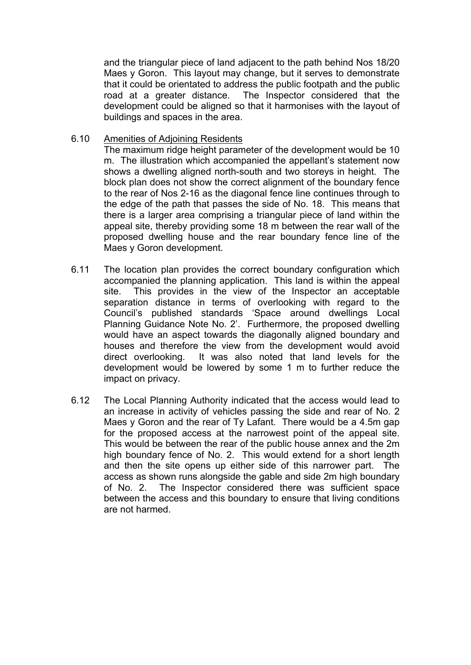and the triangular piece of land adjacent to the path behind Nos 18/20 Maes y Goron. This layout may change, but it serves to demonstrate that it could be orientated to address the public footpath and the public road at a greater distance. The Inspector considered that the development could be aligned so that it harmonises with the layout of buildings and spaces in the area.

#### 6.10 Amenities of Adjoining Residents

The maximum ridge height parameter of the development would be 10 m. The illustration which accompanied the appellant's statement now shows a dwelling aligned north-south and two storeys in height. The block plan does not show the correct alignment of the boundary fence to the rear of Nos 2-16 as the diagonal fence line continues through to the edge of the path that passes the side of No. 18. This means that there is a larger area comprising a triangular piece of land within the appeal site, thereby providing some 18 m between the rear wall of the proposed dwelling house and the rear boundary fence line of the Maes y Goron development.

- 6.11 The location plan provides the correct boundary configuration which accompanied the planning application. This land is within the appeal site. This provides in the view of the Inspector an acceptable separation distance in terms of overlooking with regard to the Council's published standards 'Space around dwellings Local Planning Guidance Note No. 2'. Furthermore, the proposed dwelling would have an aspect towards the diagonally aligned boundary and houses and therefore the view from the development would avoid direct overlooking. It was also noted that land levels for the development would be lowered by some 1 m to further reduce the impact on privacy.
- 6.12 The Local Planning Authority indicated that the access would lead to an increase in activity of vehicles passing the side and rear of No. 2 Maes y Goron and the rear of Ty Lafant. There would be a 4.5m gap for the proposed access at the narrowest point of the appeal site. This would be between the rear of the public house annex and the 2m high boundary fence of No. 2. This would extend for a short length and then the site opens up either side of this narrower part. The access as shown runs alongside the gable and side 2m high boundary of No. 2. The Inspector considered there was sufficient space between the access and this boundary to ensure that living conditions are not harmed.